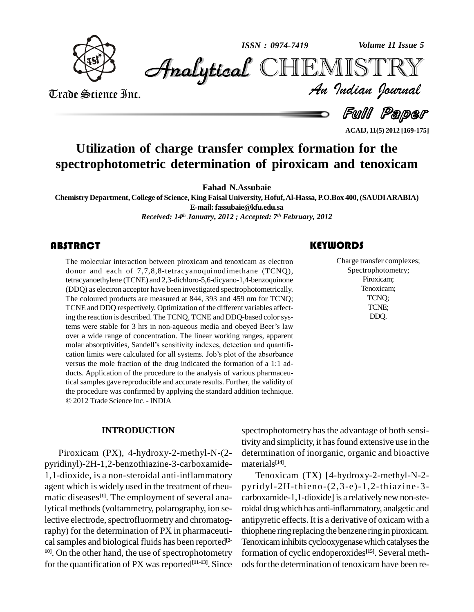

*Volume 11 Issue 5*



Trade Science Inc. Trade Science Inc.

*Volume 11 Issue 5*<br>IISTRY<br>Indian Iournal

d *Full Paper* 

**ACAIJ, 11(5) 2012 [169-175]**

### **Utilization of charge transfer complex formation for the spectrophotometric determination of piroxicam and tenoxicam**

**Fahad N.Assubaie**

**Chemistry Department, College of Science, King FaisalUniversity, Hofuf,Al-Hassa, P.O.Box 400,(SAUDIARABIA) E-mail:[fassubaie@kfu.edu.sa](mailto:fassubaie@kfu.edu.sa)** *Received: 14 th January, 2012 ; Accepted: 7 th February, 2012*

### **ABSTRACT**

The molecular interaction between piroxicam and tenoxicam as electron donor and each of 7,7,8,8-tetracyanoquinodimethane (TCNQ), tetracyanoethylene (TCNE) and 2,3-dichloro-5,6-dicyano-1,4-benzoquinone The molecular interaction between piroxicam and tenoxicam as electron donor and each of 7,7,8,8-tetracyanoquinodimethane (TCNQ), (DDQ) as electron acceptor have been investigated spectrophotometrically. The coloured products are measured at 844, 393 and 459 nm for TCNQ; TCNE and DDQ respectively. Optimization of the different variables affecting the reaction is described. The TCNQ, TCNE and DDQ-based color systems were stable for 3 hrs in non-aqueous media and obeyed Beer's law over a wide range of concentration. The linear working ranges, apparent tems were stable for 3 hrs in non-aqueous media and obeyed Beer's law<br>over a wide range of concentration. The linear working ranges, apparent<br>molar absorptivities, Sandell's sensitivity indexes, detection and quantifiover a wide range of concentration. The linear working ranges, apparent<br>molar absorptivities, Sandell's sensitivity indexes, detection and quantifi-<br>cation limits were calculated for all systems. Job's plot of the absorban versus the mole fraction of the drug indicated the formation of a 1:1 ad ducts. Application of the procedure to the analysis of various pharmaceutical samples gave reproducible and accurate results. Further, the validity of the procedure was confirmed by applying the standard addition technique. © 2012 Trade Science Inc. - INDIA

#### **INTRODUCTION**

Piroxicam (PX), 4-hydroxy-2-methyl-N-(2 pyridinyl)-2H-1,2-benzothiazine-3-carboxamide- 1,1-dioxide, is a non-steroidal anti-inflammatory agent which is widely used in the treatment of rheu matic diseases **[1]**. The employment of several analytical methods(voltammetry, polarography, ion selective electrode, spectrofluormetry and chromatography) for the determination of PX in pharmaceuti cal samples and biological fluids has been reported<sup>[2-</sup> Tenox **10]**. On the other hand, the use of spectrophotometry for the quantification of PX was reported<sup>[11-13]</sup>. Since ods fo

Charge transfer com<br>Spectrophotome<br>Piroxicam; Charge transfer complexes; Spectrophotometry; Piroxicam; Tenoxicam; TCNQ; TCNE; DDQ.

spectrophotometry has the advantage of both sensitivity and simplicity, it has found extensive use in the determination of inorganic, organic and bioactive materials **[14]**.

Tenoxicam (TX) [4-hydroxy-2-methyl-N-2 pyridyl-2H-thieno-(2,3-e)-1,2-thiazine-3 carboxamide-1,1-dioxide] is a relatively new non-steroidal drugwhich has anti-inflammatory, analgetic and antipyretic effects. It is a derivative of oxicam with a thiophene ring replacing the benzene ring in piroxicam. Tenoxicam inhibits cyclooxygenase which catalyses the formation of cyclic endoperoxides **[15]**. Several meth ods for the determination of tenoxicam have been re-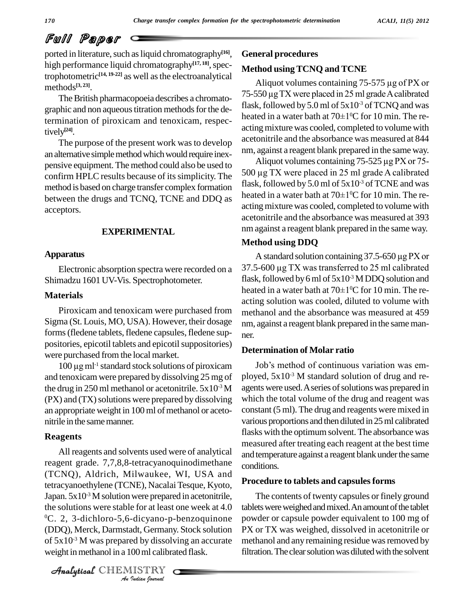### Full Paper

ported in literature, such as liquid chromatography<sup>[16]</sup>, Ger high performance liquid chromatography<sup>[17, 18]</sup>, spectrophotometric **[14, 19-22]** as well asthe electroanalytical methods **[3, 23]**.

The British pharmacopoeia describes a chromatographic and non aqueous titration methods for the determination of piroxicam and tenoxicam, respectively **[24]**.

The purpose of the present work was to develop an alternative simple method which would require inexpensive equipment.The method could also be used to confirm HPLC results because of its simplicity. The method isbased on charge transfer complex formation between the drugs and TCNQ, TCNE and DDQ as acceptors.

#### **EXPERIMENTAL**

#### **Apparatus**

Electronic absorption spectra were recorded on a Shimadzu 1601 UV-Vis. Spectrophotometer.

#### **Materials**

Piroxicam and tenoxicam were purchased from Sigma (St. Louis, MO, USA). However, their dosage forms (fledene tablets, fledene capsules, fledene suppositories, epicotil tablets and epicotil suppositories)<br>were purchased from the local market.<br>100 µg ml<sup>-1</sup> standard stock solutions of piroxicam were purchased from the local market.

 $100 \mu$ g m $l^{-1}$  standard stock solutions of piroxicam and tenoxicamwere prepared by dissolving 25 mg of the drug in 250 ml methanol or acetonitrile.  $5x10^3$  M  $(PX)$  and  $(TX)$  solutions were prepared by dissolving an appropriate weight in 100 ml of methanol or acetonitrile in the same manner.

#### **Reagents**

<sup>0</sup>C. 2, 3-dichloro-5,6-dicyano-p-benzoquinone powd *Indian*<br>*Indian*<br>*Indian*<br>*IISTRY*<br>*Indian hournal* All reagents and solvents used were of analytical reagent grade. 7,7,8,8-tetracyanoquinodimethane (TCNQ), Aldrich, Milwaukee, WI, USA and tetracyanoethylene (TCNE), Nacalai Tesque, Kyoto, Japan.  $5x10^3$  M solution were prepared in acetonitrile, the solutions were stable for at least one week at 4.0 (DDQ), Merck, Darmstadt, Germany. Stock solution of  $5x10<sup>3</sup>$  M was prepared by dissolving an accurate metha weight in methanol in a 100 ml calibrated flask.

CHEMISTRY

#### **General procedures**

#### **Method using TCNQ and TCNE**

Aliquot volumes containing 75-575 µg of PX or **Method using TCNQ and TCNE**<br>Aliquot volumes containing 75-575  $\mu$ g of PX or<br>75-550  $\mu$ g TX were placed in 25 ml grade A calibrated flask, followed by 5.0 ml of  $5x10^3$  of TCNQ and was 75-550 µg TX were placed in 25 ml grade<br>flask, followed by 5.0 ml of 5x10<sup>-3</sup> of TC<br>heated in a water bath at 70±1<sup>o</sup>C for 10 heated in a water bath at  $70\pm1\textdegree$ C for 10 min. The reacting mixture was cooled, completed to volume with acetonitrile and the absorbance was measured at 844 nm, against a reagent blank prepared in the same way.

Aliquot volumes containing 75-525 µg PX or 75- <sup>500</sup> µg TX were placed in <sup>25</sup> ml grade <sup>A</sup> calibrated flask, followed by 5.0 ml of  $5x10^3$  of TCNE and was 500 µg TX were placed in 25 ml grade<br>flask, followed by 5.0 ml of 5x10<sup>-3</sup> of TC<br>heated in a water bath at 70±1<sup>o</sup>C for 10 heated in a water bath at  $70\pm1\textdegree$ C for 10 min. The reacting mixture was cooled, completed to volume with acetonitrile and the absorbance was measured at 393 nm against a reagent blank prepared in the same way.

#### **Method using DDQ**

A standard solution containing 37.5-650 µg PX or **Method using DDQ**<br>A standard solution containing 37.5-650  $\mu$ g PX or<br>37.5-600  $\mu$ g TX was transferred to 25 ml calibrated flask, followed by 6 ml of  $5x10^3$  M DDQ solution and 37.5-600 µg TX was transferred to 25 r<br>flask, followed by 6 ml of 5x10<sup>-3</sup> M DDQ<br>heated in a water bath at 70±1<sup>o</sup>C for 10 heated in a water bath at  $70\pm1\degree$ C for 10 min. The reacting solution was cooled, diluted to volume with methanol and the absorbance was measured at 459 nm, against a reagent blank prepared in the same manner.

#### **Determination of Molar ratio**

<sup>-3</sup> M agents were used. A series of solutions was prepared in Job's method of continuous variation was employed, 5x10 -3 M standard solution of drug and re which the total volume of the drug and reagent was constant (5 ml). The drug and reagents were mixed in various proportions and then diluted in25ml calibrated flasks with the optimum solvent. The absorbance was measured after treating each reagent at the best time and temperature against a reagent blank under the same conditions.

#### **Procedure to tablets and capsulesforms**

The contents of twenty capsules or finely ground tablets were weighed and mixed. An amount of the tablet powder or capsule powder equivalent to 100 mg of PX or TX was weighed, dissolved in acetonitrile or methanol and any remaining residue was removed by filtration. The clear solution was diluted with the solvent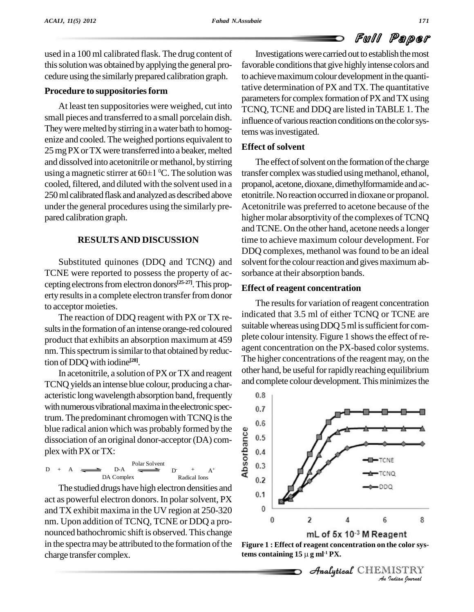## Full Paper

used in a 100 ml calibrated flask. The drug content of this solution was obtained by applying the general procedure using the similarly prepared calibration graph.

#### **Procedure** to suppositories form

At least ten suppositories were weighed, cut into small pieces and transferred to a small porcelain dish. They were melted by stirring in a water bath to homogenize and cooled. The weighed portions equivalent to 25 mg PX or TX were transferred into a beaker, melted and dissolved into acetonitrile or methanol, by stirring The 25 mg PX or TX were transferred into a bea<br>and dissolved into acetonitrile or methano<br>using a magnetic stirrer at  $60\pm1$  °C. The s using a magnetic stirrer at  $60\pm1$  °C. The solution was cooled, filtered, and diluted with the solvent used in a 250 ml calibrated flask and analyzed as described above under the general procedures using the similarly pre pared calibration graph.

#### **RESULTSAND DISCUSSION**

Substituted quinones (DDQ and TCNQ) and TCNE were reported to possess the property of ac cepting electrons from electron donors<sup>[25-27]</sup>. This property results in a complete electron transfer from donor to acceptor moieties.

The reaction of DDQ reagent with PX or TX re sults in the formation of an intense orange-red coloured product that exhibits an absorption maximum at 459 nm. This spectrum is similar to that obtained by reduction ofDDQ with iodine **[28]**.

In acetonitrile, a solution of PX or TX and reagent TCNQ yields an intense blue colour, producing a char acteristic long wavelength absorption band, frequently 0.8 with numerous vibrational maxima in the electronic spectrum. The predominant chromogen with TCNQ is the  $_{0.6}$ blue radical anion which was probably formed by the<br>dissociation of an original donor-acceptor (DA) com-<br>plex with PX or TX:<br> $D + A = D - A$ <br> $D - A = D - A$ <br> $D - A = D - A$ dissociation of an original donor-acceptor(DA) com plex with PX orTX:

$$
D + A \xrightarrow{\text{Polar Solvent}} D - A \xrightarrow{\text{Polar Solvent}} D + A^+
$$
  
DA Complex  
Radical Ions

The studied drugs have high electron densities and  $\frac{0.1}{0.1}$ act as powerful electron donors. In polarsolvent, PX and TX exhibit maxima in the UV region at 250-320 nm. Upon addition of TCNQ, TCNE or DDQ a pro nounced bathochromic shift is observed. This change in the spectra may be attributed to the formation of the charge transfer complex.

Investigations were carried out to establish the most favorable conditions that give highly intense colors and to achieve maximum colour development in the quantitative determination of PX andTX. The quantitative parameters for complex formation of PX and TX using TCNQ, TCNE and DDQ are listed inTABLE 1. The influence of various reaction conditions on the color systemswasinvestigated.

#### **Effect of solvent**

The effect of solvent on the formation of the charge transfer complex was studied using methanol, ethanol, propanol, acetone, dioxane, dimethylformamide and acetonitrile.No reaction occurred in dioxaneor propanol. Acetonitrile was preferred to acetone because of the higher molar absorptivity of the complexes of TCNQ and TCNE. On the other hand, acetone needs a longer time to achieve maximum colour development. For DDQ complexes, methanol was found to be an ideal solvent for the colour reaction and gives maximum absorbance at their absorption bands.

#### **Effect of reagent concentration**

The results for variation of reagent concentration indicated that 3.5 ml of either TCNQ or TCNE are suitable whereas using DDQ 5 ml is sufficient for complete colour intensity. Figure 1 shows the effect of reagent concentration on the PX-based color systems. The higher concentrations of the reagent may, on the other hand, be useful for rapidly reaching equilibrium and complete colour development. This minimizes the





CHEMISTRY

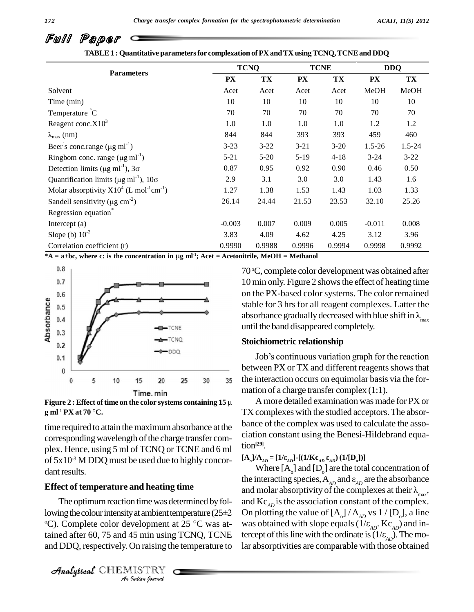|                                                                    | <b>TCNQ</b> |          | <b>TCNE</b> |          | <b>DDQ</b> |          |
|--------------------------------------------------------------------|-------------|----------|-------------|----------|------------|----------|
| <b>Parameters</b>                                                  | <b>PX</b>   | TX       | PX          | TX       | <b>PX</b>  | TX       |
| Solvent                                                            | Acet        | Acet     | Acet        | Acet     | MeOH       | MeOH     |
| Time (min)                                                         | 10          | 10       | 10          | 10       | 10         | 10       |
| Temperature °C                                                     | 70          | 70       | 70          | 70       | 70         | 70       |
| Reagent conc. $X10^3$                                              | 1.0         | 1.0      | 1.0         | 1.0      | 1.2        | 1.2      |
| $\lambda_{\text{max}}$ (nm)                                        | 844         | 844      | 393         | 393      | 459        | 460      |
| Beer's conc.range $(\mu g \text{ ml}^{-1})$                        | $3 - 23$    | $3 - 22$ | $3 - 21$    | $3 - 20$ | $1.5 - 26$ | 1.5-24   |
| Ringbom conc. range $(\mu g \text{ ml}^{-1})$                      | $5 - 21$    | $5 - 20$ | $5-19$      | $4 - 18$ | $3 - 24$   | $3 - 22$ |
| Detection limits ( $\mu$ g ml <sup>-1</sup> ), $3\sigma$           | 0.87        | 0.95     | 0.92        | 0.90     | 0.46       | 0.50     |
| Quantification limits ( $\mu$ g ml <sup>-1</sup> ), 10 $\sigma$    | 2.9         | 3.1      | 3.0         | 3.0      | 1.43       | 1.6      |
| Molar absorptivity $X10^4$ (L mol <sup>-1</sup> cm <sup>-1</sup> ) | 1.27        | 1.38     | 1.53        | 1.43     | 1.03       | 1.33     |
| Sandell sensitivity ( $\mu$ g cm <sup>-2</sup> )                   | 26.14       | 24.44    | 21.53       | 23.53    | 32.10      | 25.26    |
| Regression equation <sup>*</sup>                                   |             |          |             |          |            |          |
| Intercept $(a)$                                                    | $-0.003$    | 0.007    | 0.009       | 0.005    | $-0.011$   | 0.008    |
| Slope (b) $10^{-2}$                                                | 3.83        | 4.09     | 4.62        | 4.25     | 3.12       | 3.96     |
| Correlation coefficient (r)                                        | 0.9990      | 0.9988   | 0.9996      | 0.9994   | 0.9998     | 0.9992   |

**TABLE1 : Quantitative parametersfor complexation ofPX andTX usingTCNQ,TCNEand DDQ**



**g ml -1 PX at <sup>70</sup> C.**

time required to attain the maximum absorbance at the corresponding wavelength of the charge transfer complex. Hence, using 5 ml of TCNQ or TCNE and 6 ml of  $5x10^{-3}$  M DDQ must be used due to highly concordant results.

### **Effect of temperature and heating time**

**Effect of temperature and neating time**<br>The optimum reaction time was determined by fol-<br>lowing the colour intensity at ambient temperature (25±2 On plo *I* at ambient te<br> *V*elopment a<br>
45 min using<br>
On raising th<br>
IISTRY The optimum reaction time was determined by fol-<br>lowing the colour intensity at ambient temperature (25 $\pm$ 2 O<br>°C). Complete color development at 25 °C was at-The optimum reaction time was determined by foltained after 60, 75 and 45 min using TCNQ, TCNE tercept of and DDQ, respectively. On raising the temperature to

CHEMISTRY

70 °C, complete color development was obtained after 10 min only. Figure 2 shows the effect of heating time on the PX-based color systems. The color remained stable for 3 hrs for all reagent complexes. Latter the absorbance gradually decreased with blue shift in  $\lambda_{\text{max}}$  until the band disappeared completely.

#### **Stoichiometric relationship**

Job's continuous variation graph for the reaction between PX or TX and different reagents shows that the interaction occurs on equimolar basis via the for mation of a charge transfer complex (1:1).

A more detailed examination was made for PX or TX complexes with the studied acceptors.The absor bance of the complex was used to calculate the asso ciation constant using the Benesi-Hildebrand equation **[29]**.  $\text{LCA}^{[29]}$ .<br> **[A**<sub>*a*</sub>]/A<sub>*AD*</sub> = [1/ $\epsilon_{AD}$ ]-[(1/ $\text{Kc}_{AD}$   $\epsilon_{AD}$ )(1/[D<sub>*o*</sub>])]

Where  $[A_0]$  and  $[D_0]$  are the total concentration of  $[A_{aJ}/A_{AD} = [1/\epsilon_{AD}] - [(1/K\epsilon_{AD} \epsilon_{AD}) (1/[D_{a}])]$ <br>Where  $[A_{0}]$  and  $[D_{0}]$  are the total concentration of<br>the interacting species,  $A_{AD}$  and  $\epsilon_{AD}$  are the absorbance Where  $[A_0]$  and  $[D_0]$  are the total concentration of<br>the interacting species,  $A_{AD}$  and  $\varepsilon_{AD}$  are the absorbance<br>and molar absorptivity of the complexes at their  $\lambda_{max}$ , and molar absorptivity of the complexes at their  $\lambda_{\text{max}}$ , and  $\text{Kc}_{AD}$  is the association constant of the complex. On plotting the value of  $[A_o] / A_{AD}$  vs  $1 / [D_o]$ , a line and  $Kc_{AD}$  is the association constant of the c<br>On plotting the value of  $[A_0]/A_{AD}$  vs 1 / [D<br>was obtained with slope equals (1/ $\varepsilon_{AD}$ , Kc<sub>AD</sub>  $_{AD}$ . Kc<sub>*AD</sub>*) and in-</sub> On plotting the value of  $[A_0]/A_{AD}$  vs  $1/[D_0]$ , a<br>was obtained with slope equals  $(1/\epsilon_{AD}$ .  $Kc_{AD})$  and<br>tercept of this line with the ordinate is  $(1/\epsilon_{AD})$ . The *AD* ).Themolar absorptivities are comparable with those obtained

Full Paper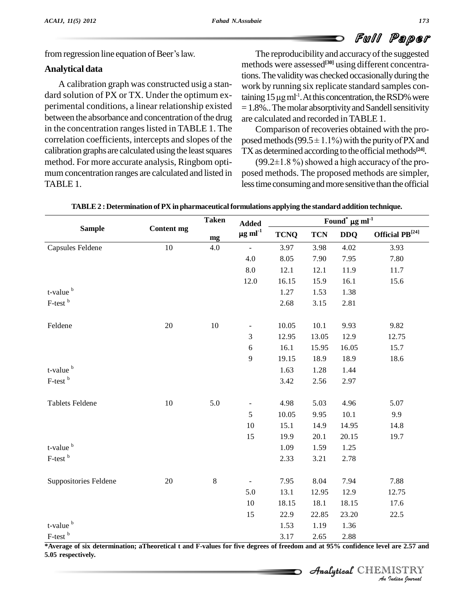# Full Paper

from regression line equation of Beer's law.

#### **Analytical data**

A calibration graph was constructed usig a stan dard solution of PX or TX. Under the optimum ex perimental conditions, a linear relationship existed between the absorbance and concentration of the drug in the concentration ranges listed in TABLE 1. The correlation coefficients, intercepts and slopes of the calibration graphs are calculated using the least squares method. For more accurate analysis, Ringbom opti-  $(99.2 \pm 1.8\%)$  showed a high accuracy of the promum concentration ranges are calculated and listed in TABLE 1.

The reproducibility and accuracy of the suggested methods were assessed **[30]** using different concentrations. The validity was checked occasionally during the<br>work by running six replicate standard samples con-<br>taining 15 µg ml<sup>-1</sup>. At this concentration, the RSD% were work by running six replicate standard samples con-<sup>-1</sup>. At this concentration, the RSD% were  $=1.8\%$ .. The molar absorptivity and Sandell sensitivity are calculated and recorded inTABLE 1.

Comparison of recoveries obtained with the pro are calculated and recorded in TABLE 1.<br>Comparison of recoveries obtained with the pro-<br>posed methods (99.5 $\pm$ 1.1%) with the purity of PX and TX as determined according to the official methods<sup>[24]</sup>. ed methods (99.5  $\pm$  1.1%) with the purity of PX and<br>as determined according to the official methods<sup>[24]</sup>.<br>(99.2 $\pm$ 1.8 %) showed a high accuracy of the pro-

posed methods. The proposed methods are simpler, less time consuming and more sensitive than the official

|                            | <b>Content mg</b> | <b>Taken</b><br>mg | <b>Added</b><br>$\mu$ g ml <sup>-1</sup> | Found <sup>*</sup> $\mu$ g ml <sup>-1</sup> |            |            |                                        |  |
|----------------------------|-------------------|--------------------|------------------------------------------|---------------------------------------------|------------|------------|----------------------------------------|--|
| <b>Sample</b>              |                   |                    |                                          | <b>TCNQ</b>                                 | <b>TCN</b> | <b>DDQ</b> | Official $\mathbf{P}\mathbf{B}^{[24]}$ |  |
| Capsules Feldene           | 10                | 4.0                | $\Box$                                   | 3.97                                        | 3.98       | 4.02       | 3.93                                   |  |
|                            |                   |                    | 4.0                                      | 8.05                                        | 7.90       | 7.95       | 7.80                                   |  |
|                            |                   |                    | $8.0\,$                                  | 12.1                                        | 12.1       | 11.9       | 11.7                                   |  |
|                            |                   |                    | 12.0                                     | 16.15                                       | 15.9       | 16.1       | 15.6                                   |  |
| t-value <sup>b</sup>       |                   |                    |                                          | 1.27                                        | 1.53       | 1.38       |                                        |  |
| F-test <sup>b</sup>        |                   |                    |                                          | 2.68                                        | 3.15       | 2.81       |                                        |  |
| Feldene                    | 20                | 10                 | $\overline{\phantom{a}}$                 | 10.05                                       | 10.1       | 9.93       | 9.82                                   |  |
|                            |                   |                    | 3                                        | 12.95                                       | 13.05      | 12.9       | 12.75                                  |  |
|                            |                   |                    | 6                                        | 16.1                                        | 15.95      | 16.05      | 15.7                                   |  |
|                            |                   |                    | 9                                        | 19.15                                       | 18.9       | 18.9       | 18.6                                   |  |
| t-value <sup>b</sup>       |                   |                    |                                          | 1.63                                        | 1.28       | 1.44       |                                        |  |
| F-test <sup>b</sup>        |                   |                    |                                          | 3.42                                        | 2.56       | 2.97       |                                        |  |
| <b>Tablets Feldene</b>     | 10                | 5.0                | $\blacksquare$                           | 4.98                                        | 5.03       | 4.96       | 5.07                                   |  |
|                            |                   |                    | 5                                        | 10.05                                       | 9.95       | 10.1       | 9.9                                    |  |
|                            |                   |                    | 10                                       | 15.1                                        | 14.9       | 14.95      | 14.8                                   |  |
|                            |                   |                    | 15                                       | 19.9                                        | 20.1       | 20.15      | 19.7                                   |  |
| t-value <sup>b</sup>       |                   |                    |                                          | 1.09                                        | 1.59       | 1.25       |                                        |  |
| F-test <sup>b</sup>        |                   |                    |                                          | 2.33                                        | 3.21       | 2.78       |                                        |  |
| Suppositories Feldene      | 20                | $\,8\,$            | $\frac{1}{2}$                            | 7.95                                        | 8.04       | 7.94       | 7.88                                   |  |
|                            |                   |                    | 5.0                                      | 13.1                                        | 12.95      | 12.9       | 12.75                                  |  |
|                            |                   |                    | $10\,$                                   | 18.15                                       | 18.1       | 18.15      | 17.6                                   |  |
|                            |                   |                    | 15                                       | 22.9                                        | 22.85      | 23.20      | 22.5                                   |  |
| t-value <sup>b</sup>       |                   |                    |                                          | 1.53                                        | 1.19       | 1.36       |                                        |  |
| $\mbox{F-test}$ $^{\rm b}$ |                   |                    |                                          | 3.17                                        | 2.65       | 2.88       |                                        |  |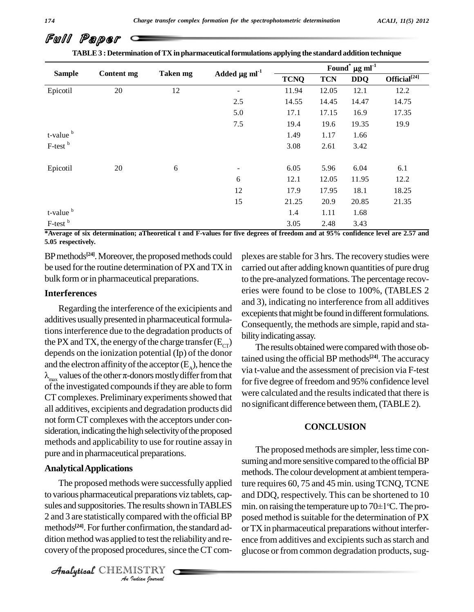| TABLE 3 : Determination of TX in pharmaceutical formulations applying the standard addition technique |                   |          |                                |                                             |            |            |                    |  |  |
|-------------------------------------------------------------------------------------------------------|-------------------|----------|--------------------------------|---------------------------------------------|------------|------------|--------------------|--|--|
| <b>Sample</b>                                                                                         | <b>Content mg</b> | Taken mg | Added $\mu$ g ml <sup>-1</sup> | Found <sup>*</sup> $\mu$ g ml <sup>-1</sup> |            |            |                    |  |  |
|                                                                                                       |                   |          |                                | <b>TCNQ</b>                                 | <b>TCN</b> | <b>DDQ</b> | Official $^{[24]}$ |  |  |
| Epicotil                                                                                              | 20                | 12       | $\overline{\phantom{0}}$       | 11.94                                       | 12.05      | 12.1       | 12.2               |  |  |
|                                                                                                       |                   |          | 2.5                            | 14.55                                       | 14.45      | 14.47      | 14.75              |  |  |
|                                                                                                       |                   |          | 5.0                            | 17.1                                        | 17.15      | 16.9       | 17.35              |  |  |
|                                                                                                       |                   |          | 7.5                            | 19.4                                        | 19.6       | 19.35      | 19.9               |  |  |
| $t$ -value $\frac{b}{c}$                                                                              |                   |          |                                | 1.49                                        | 1.17       | 1.66       |                    |  |  |
| F-test <sup>b</sup>                                                                                   |                   |          |                                | 3.08                                        | 2.61       | 3.42       |                    |  |  |
| Epicotil                                                                                              | 20                | 6        |                                | 6.05                                        | 5.96       | 6.04       | 6.1                |  |  |
|                                                                                                       |                   |          | 6                              | 12.1                                        | 12.05      | 11.95      | 12.2               |  |  |
|                                                                                                       |                   |          | 12                             | 17.9                                        | 17.95      | 18.1       | 18.25              |  |  |
|                                                                                                       |                   |          | 15                             | 21.25                                       | 20.9       | 20.85      | 21.35              |  |  |
| t-value <sup>b</sup>                                                                                  |                   |          |                                | 1.4                                         | 1.11       | 1.68       |                    |  |  |
| F-test <sup>b</sup>                                                                                   |                   |          |                                | 3.05                                        | 2.48       | 3.43       |                    |  |  |

\*Average of six determination; aTheoretical t and F-values for five degrees of freedom and at 95% confidence level are 2.57 and **5.05 respectively.**

BP methods<sup>[24]</sup>. Moreover, the proposed methods could plexes be used for the routine determination of PX and TX in bulk form or in pharmaceutical preparations.

#### **Interferences**

Regarding the interference of the exicipients and additives usually presented in pharmaceutical formulationsinterference due to the degradation products of the PX and TX, the energy of the charge transfer  $(E_{CT})$ depends on the ionization potential  $(Ip)$  of the donor and the electron affinity of the acceptor  $(E_A)$ , hence the via t- $\lambda_{\text{max}}$  values of the other  $\pi$ -donors mostly differ from that of the investigated compounds if they are able to form CT complexes. Preliminary experiments showed that all additives, excipients and degradation products did not form CT complexes with the acceptors under consideration, indicating the high selectivity of the proposed methods and applicability to use for routine assay in pure and in pharmaceutical preparations.

#### **AnalyticalApplications**

2 and 3 are statistically compared with the official BP posed m *Indian*<br>*Indian Indian*<br>*ISTRY*<br>*IISTRY* The proposed methods were successfully applied to various pharmaceutical preparations viz tablets, cap sules and suppositories. The results shown in TABLES methods<sup>[24]</sup>. For further confirmation, the standard ad- or T dition method was applied to test the reliability and recovery of the proposed procedures, since the CT com-

CHEMISTRY

plexes are stable for 3 hrs. The recovery studies were carried out after adding known quantities of pure drug to the pre-analyzed formations.The percentage recov eries were found to be close to 100%, (TABLES 2 and 3), indicating no interference from all additives excepients that might be found in different formulations. Consequently, the methods are simple, rapid and sta bility indicating assay.

The results obtained were compared with those obtained using the official BP methods **[24]**.The accuracy via t-value and the assessment of precision via F-test for five degree of freedom and 95% confidence level were calculated and the results indicated that there is no significant difference between them,(TABLE2).

#### **CONCLUSION**

The proposed methods are simpler, less time consuming and more sensitive compared to the official BP methods. The colour development at ambient temperature requires 60, 75 and 45 min. using TCNQ, TCNE<br>and DDQ, respectively. This can be shortened to 10<br>min. on raising the temperature up to 70±1°C. The proand DDQ, respectively. This can be shortened to 10 min. on raising the temperature up to  $70\pm1\degree C$ . The proposed method is suitable for the determination of PX orTXin pharmaceutical preparations without interfer ence from additives and excipients such as starch and glucose or from common degradation products, sug-

Full Paper